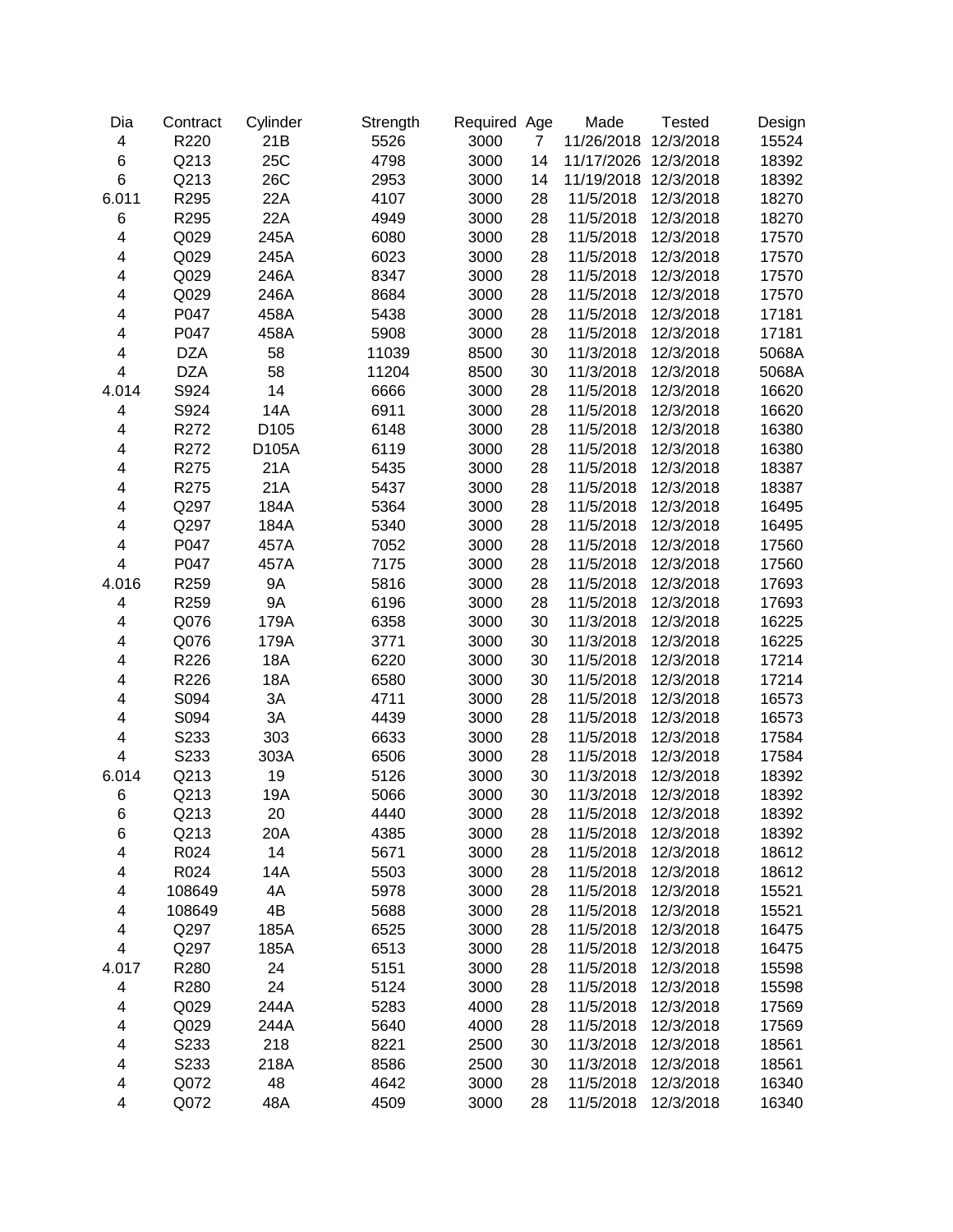| Dia                     | Contract   | Cylinder         | Strength | Required Age |                | Made       | <b>Tested</b> | Design |
|-------------------------|------------|------------------|----------|--------------|----------------|------------|---------------|--------|
| $\overline{\mathbf{4}}$ | R220       | 21B              | 5526     | 3000         | $\overline{7}$ | 11/26/2018 | 12/3/2018     | 15524  |
| 6                       | Q213       | 25C              | 4798     | 3000         | 14             | 11/17/2026 | 12/3/2018     | 18392  |
| 6                       | Q213       | 26C              | 2953     | 3000         | 14             | 11/19/2018 | 12/3/2018     | 18392  |
| 6.011                   | R295       | 22A              | 4107     | 3000         | 28             | 11/5/2018  | 12/3/2018     | 18270  |
| 6                       | R295       | 22A              | 4949     | 3000         | 28             | 11/5/2018  | 12/3/2018     | 18270  |
| 4                       | Q029       | 245A             | 6080     | 3000         | 28             | 11/5/2018  | 12/3/2018     | 17570  |
| 4                       | Q029       | 245A             | 6023     | 3000         | 28             | 11/5/2018  | 12/3/2018     | 17570  |
| 4                       | Q029       | 246A             | 8347     | 3000         | 28             | 11/5/2018  | 12/3/2018     | 17570  |
| 4                       | Q029       | 246A             | 8684     | 3000         | 28             | 11/5/2018  | 12/3/2018     | 17570  |
| 4                       | P047       | 458A             | 5438     | 3000         | 28             | 11/5/2018  | 12/3/2018     | 17181  |
| 4                       | P047       | 458A             | 5908     | 3000         | 28             | 11/5/2018  | 12/3/2018     | 17181  |
| 4                       | <b>DZA</b> | 58               | 11039    | 8500         | 30             | 11/3/2018  | 12/3/2018     | 5068A  |
| 4                       | <b>DZA</b> | 58               | 11204    | 8500         | 30             | 11/3/2018  | 12/3/2018     | 5068A  |
| 4.014                   | S924       | 14               | 6666     | 3000         | 28             | 11/5/2018  | 12/3/2018     | 16620  |
| 4                       | S924       | 14A              | 6911     | 3000         | 28             | 11/5/2018  | 12/3/2018     | 16620  |
| 4                       | R272       | D <sub>105</sub> | 6148     | 3000         | 28             | 11/5/2018  | 12/3/2018     | 16380  |
| 4                       | R272       | D105A            | 6119     | 3000         | 28             | 11/5/2018  | 12/3/2018     | 16380  |
| 4                       | R275       | 21A              | 5435     | 3000         | 28             | 11/5/2018  | 12/3/2018     | 18387  |
| $\overline{\mathbf{4}}$ | R275       | 21A              | 5437     | 3000         | 28             | 11/5/2018  | 12/3/2018     | 18387  |
| 4                       | Q297       | 184A             | 5364     | 3000         | 28             | 11/5/2018  | 12/3/2018     | 16495  |
| 4                       | Q297       | 184A             | 5340     | 3000         | 28             | 11/5/2018  | 12/3/2018     | 16495  |
| 4                       | P047       | 457A             | 7052     | 3000         | 28             | 11/5/2018  | 12/3/2018     | 17560  |
| 4                       | P047       | 457A             | 7175     | 3000         | 28             | 11/5/2018  | 12/3/2018     | 17560  |
| 4.016                   | R259       | <b>9A</b>        | 5816     | 3000         | 28             | 11/5/2018  | 12/3/2018     | 17693  |
| 4                       | R259       | <b>9A</b>        | 6196     | 3000         | 28             | 11/5/2018  | 12/3/2018     | 17693  |
| 4                       | Q076       | 179A             | 6358     | 3000         | 30             | 11/3/2018  | 12/3/2018     | 16225  |
| 4                       | Q076       | 179A             | 3771     | 3000         | 30             | 11/3/2018  | 12/3/2018     | 16225  |
| 4                       | R226       | 18A              | 6220     | 3000         | 30             | 11/5/2018  | 12/3/2018     | 17214  |
| 4                       | R226       | 18A              | 6580     | 3000         | 30             | 11/5/2018  | 12/3/2018     | 17214  |
| 4                       | S094       | 3A               | 4711     | 3000         | 28             | 11/5/2018  | 12/3/2018     | 16573  |
| 4                       | S094       | 3A               | 4439     | 3000         | 28             | 11/5/2018  | 12/3/2018     | 16573  |
| 4                       | S233       | 303              | 6633     | 3000         | 28             | 11/5/2018  | 12/3/2018     | 17584  |
| $\overline{\mathbf{4}}$ | S233       | 303A             | 6506     | 3000         | 28             | 11/5/2018  | 12/3/2018     | 17584  |
| 6.014                   | Q213       | 19               | 5126     | 3000         | 30             | 11/3/2018  | 12/3/2018     | 18392  |
| 6                       | Q213       | 19A              | 5066     | 3000         | 30             | 11/3/2018  | 12/3/2018     | 18392  |
| 6                       | Q213       | 20               | 4440     | 3000         | 28             | 11/5/2018  | 12/3/2018     | 18392  |
| 6                       | Q213       | 20A              | 4385     | 3000         | 28             | 11/5/2018  | 12/3/2018     | 18392  |
| 4                       | R024       | 14               | 5671     | 3000         | 28             | 11/5/2018  | 12/3/2018     | 18612  |
| 4                       | R024       | 14A              | 5503     | 3000         | 28             | 11/5/2018  | 12/3/2018     | 18612  |
| 4                       | 108649     | 4A               | 5978     | 3000         | 28             | 11/5/2018  | 12/3/2018     | 15521  |
| 4                       | 108649     | 4B               | 5688     | 3000         | 28             | 11/5/2018  | 12/3/2018     | 15521  |
| 4                       | Q297       | 185A             | 6525     | 3000         | 28             | 11/5/2018  | 12/3/2018     | 16475  |
| $\overline{\mathbf{4}}$ | Q297       | 185A             | 6513     | 3000         | 28             | 11/5/2018  | 12/3/2018     | 16475  |
| 4.017                   | R280       | 24               | 5151     | 3000         | 28             | 11/5/2018  | 12/3/2018     | 15598  |
| 4                       | R280       | 24               | 5124     | 3000         | 28             | 11/5/2018  | 12/3/2018     | 15598  |
| 4                       | Q029       | 244A             | 5283     | 4000         | 28             | 11/5/2018  | 12/3/2018     | 17569  |
| 4                       | Q029       | 244A             | 5640     | 4000         | 28             | 11/5/2018  | 12/3/2018     | 17569  |
| 4                       | S233       | 218              | 8221     | 2500         | 30             | 11/3/2018  | 12/3/2018     | 18561  |
| 4                       | S233       | 218A             | 8586     | 2500         | 30             | 11/3/2018  | 12/3/2018     | 18561  |
| 4                       | Q072       | 48               | 4642     | 3000         | 28             | 11/5/2018  | 12/3/2018     | 16340  |
| $\overline{\mathbf{4}}$ | Q072       | 48A              | 4509     | 3000         | 28             | 11/5/2018  | 12/3/2018     | 16340  |
|                         |            |                  |          |              |                |            |               |        |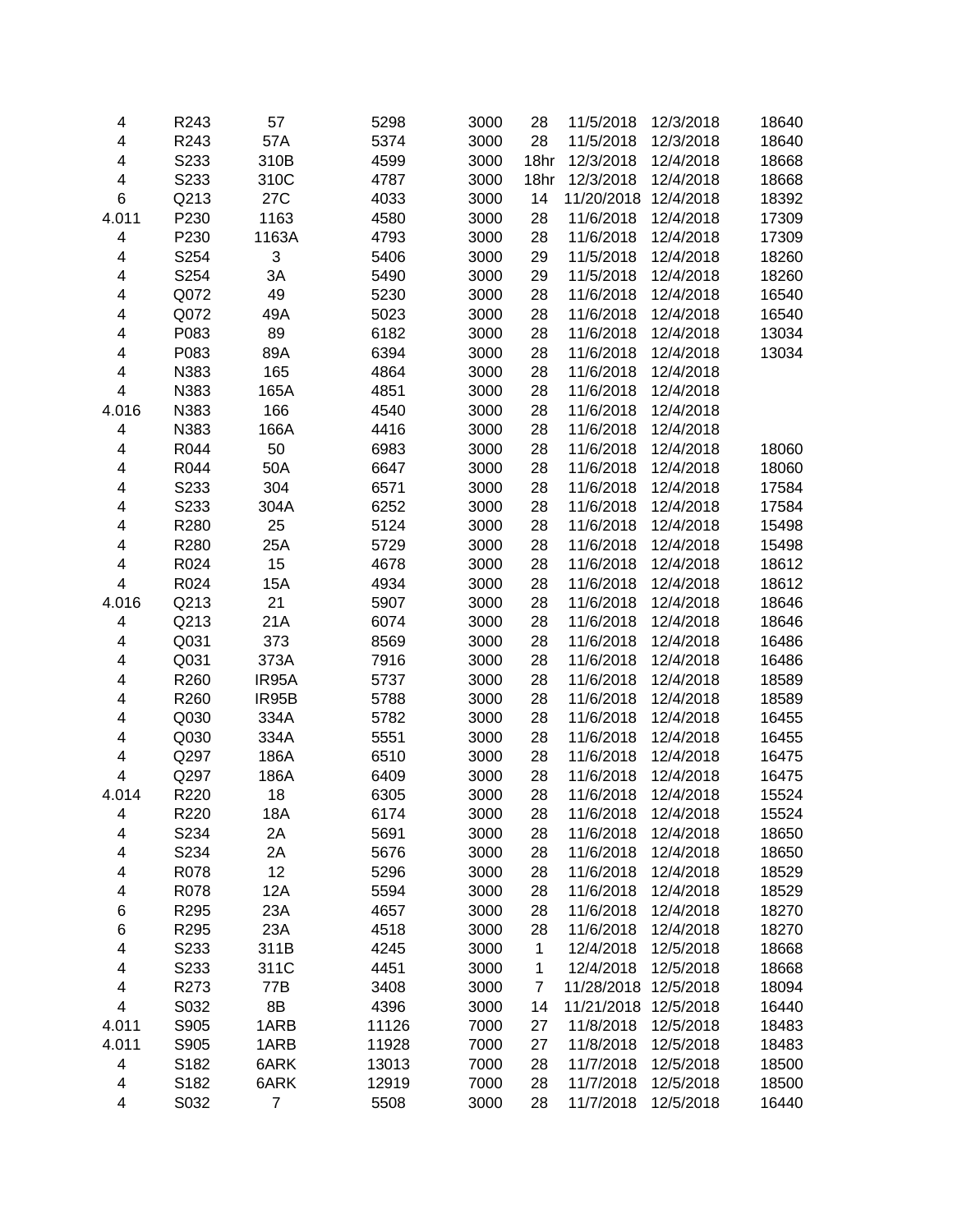| 4                       | R243 | 57           | 5298         | 3000 | 28             | 11/5/2018              | 12/3/2018              | 18640          |
|-------------------------|------|--------------|--------------|------|----------------|------------------------|------------------------|----------------|
| $\overline{\mathbf{4}}$ | R243 | 57A          | 5374         | 3000 | 28             | 11/5/2018              | 12/3/2018              | 18640          |
| $\overline{\mathbf{4}}$ | S233 | 310B         | 4599         | 3000 | 18hr           | 12/3/2018              | 12/4/2018              | 18668          |
| 4                       | S233 | 310C         | 4787         | 3000 | 18hr           | 12/3/2018              | 12/4/2018              | 18668          |
| 6                       | Q213 | 27C          | 4033         | 3000 | 14             | 11/20/2018             | 12/4/2018              | 18392          |
| 4.011                   | P230 | 1163         | 4580         | 3000 | 28             | 11/6/2018              | 12/4/2018              | 17309          |
| 4                       | P230 | 1163A        | 4793         | 3000 | 28             | 11/6/2018              | 12/4/2018              | 17309          |
| 4                       | S254 | 3            | 5406         | 3000 | 29             | 11/5/2018              | 12/4/2018              | 18260          |
| 4                       | S254 | 3A           | 5490         | 3000 | 29             | 11/5/2018              | 12/4/2018              | 18260          |
| 4                       | Q072 | 49           | 5230         | 3000 | 28             | 11/6/2018              | 12/4/2018              | 16540          |
| 4                       | Q072 | 49A          | 5023         | 3000 | 28             | 11/6/2018              | 12/4/2018              | 16540          |
| 4                       | P083 | 89           | 6182         | 3000 | 28             | 11/6/2018              | 12/4/2018              | 13034          |
| 4                       | P083 | 89A          | 6394         | 3000 | 28             | 11/6/2018              | 12/4/2018              | 13034          |
| 4                       | N383 | 165          | 4864         | 3000 | 28             | 11/6/2018              | 12/4/2018              |                |
| 4                       | N383 | 165A         | 4851         | 3000 | 28             | 11/6/2018              | 12/4/2018              |                |
| 4.016                   | N383 | 166          | 4540         | 3000 | 28             | 11/6/2018              | 12/4/2018              |                |
| 4                       | N383 | 166A         | 4416         | 3000 | 28             | 11/6/2018              | 12/4/2018              |                |
| $\overline{\mathbf{4}}$ | R044 | 50           | 6983         | 3000 | 28             | 11/6/2018              | 12/4/2018              | 18060          |
| 4                       | R044 | 50A          | 6647         | 3000 | 28             | 11/6/2018              | 12/4/2018              | 18060          |
| $\overline{\mathbf{4}}$ | S233 | 304          | 6571         | 3000 | 28             | 11/6/2018              | 12/4/2018              | 17584          |
| 4                       | S233 | 304A         | 6252         | 3000 | 28             | 11/6/2018              | 12/4/2018              | 17584          |
| 4                       | R280 | 25           | 5124         | 3000 | 28             | 11/6/2018              | 12/4/2018              | 15498          |
| 4                       | R280 | 25A          | 5729         | 3000 | 28             | 11/6/2018              | 12/4/2018              | 15498          |
| 4                       | R024 | 15           | 4678         | 3000 | 28             | 11/6/2018              | 12/4/2018              | 18612          |
| 4                       | R024 | 15A          | 4934         | 3000 | 28             | 11/6/2018              | 12/4/2018              | 18612          |
| 4.016                   | Q213 | 21           | 5907         | 3000 | 28             | 11/6/2018              | 12/4/2018              | 18646          |
| 4                       | Q213 | 21A          | 6074         | 3000 | 28             | 11/6/2018              | 12/4/2018              | 18646          |
| 4                       | Q031 | 373          | 8569         | 3000 | 28             | 11/6/2018              | 12/4/2018              | 16486          |
| 4                       | Q031 | 373A         | 7916         | 3000 | 28             | 11/6/2018              | 12/4/2018              | 16486          |
| 4                       | R260 | IR95A        | 5737         | 3000 | 28             | 11/6/2018              | 12/4/2018              | 18589          |
| 4                       | R260 | IR95B        | 5788         | 3000 | 28             | 11/6/2018              | 12/4/2018              | 18589          |
| 4                       | Q030 | 334A         | 5782         | 3000 | 28             | 11/6/2018              | 12/4/2018              | 16455          |
| $\overline{\mathbf{4}}$ | Q030 | 334A         | 5551         | 3000 |                | 11/6/2018              | 12/4/2018              | 16455          |
| $\overline{\mathbf{4}}$ |      |              |              |      | 28             |                        | 12/4/2018              |                |
| 4                       | Q297 | 186A<br>186A | 6510         | 3000 | 28             | 11/6/2018              |                        | 16475          |
|                         | Q297 |              | 6409<br>6305 | 3000 | 28             | 11/6/2018<br>11/6/2018 | 12/4/2018<br>12/4/2018 | 16475<br>15524 |
| 4.014                   | R220 | 18           |              | 3000 | 28             |                        |                        |                |
| 4                       | R220 | 18A          | 6174         | 3000 | 28             | 11/6/2018              | 12/4/2018              | 15524          |
| 4                       | S234 | 2A           | 5691         | 3000 | 28             | 11/6/2018              | 12/4/2018              | 18650          |
| 4                       | S234 | 2A           | 5676         | 3000 | 28             | 11/6/2018              | 12/4/2018              | 18650          |
| 4                       | R078 | 12           | 5296         | 3000 | 28             | 11/6/2018              | 12/4/2018              | 18529          |
| 4                       | R078 | 12A          | 5594         | 3000 | 28             | 11/6/2018              | 12/4/2018              | 18529          |
| 6                       | R295 | 23A          | 4657         | 3000 | 28             | 11/6/2018              | 12/4/2018              | 18270          |
| 6                       | R295 | 23A          | 4518         | 3000 | 28             | 11/6/2018              | 12/4/2018              | 18270          |
| 4                       | S233 | 311B         | 4245         | 3000 | 1              | 12/4/2018              | 12/5/2018              | 18668          |
| 4                       | S233 | 311C         | 4451         | 3000 | 1              | 12/4/2018              | 12/5/2018              | 18668          |
| 4                       | R273 | 77B          | 3408         | 3000 | $\overline{7}$ | 11/28/2018             | 12/5/2018              | 18094          |
| 4                       | S032 | 8B           | 4396         | 3000 | 14             | 11/21/2018             | 12/5/2018              | 16440          |
| 4.011                   | S905 | 1ARB         | 11126        | 7000 | 27             | 11/8/2018              | 12/5/2018              | 18483          |
| 4.011                   | S905 | 1ARB         | 11928        | 7000 | 27             | 11/8/2018              | 12/5/2018              | 18483          |
| $\overline{\mathbf{4}}$ | S182 | 6ARK         | 13013        | 7000 | 28             | 11/7/2018              | 12/5/2018              | 18500          |
| 4                       | S182 | 6ARK         | 12919        | 7000 | 28             | 11/7/2018              | 12/5/2018              | 18500          |
| 4                       | S032 | 7            | 5508         | 3000 | 28             | 11/7/2018              | 12/5/2018              | 16440          |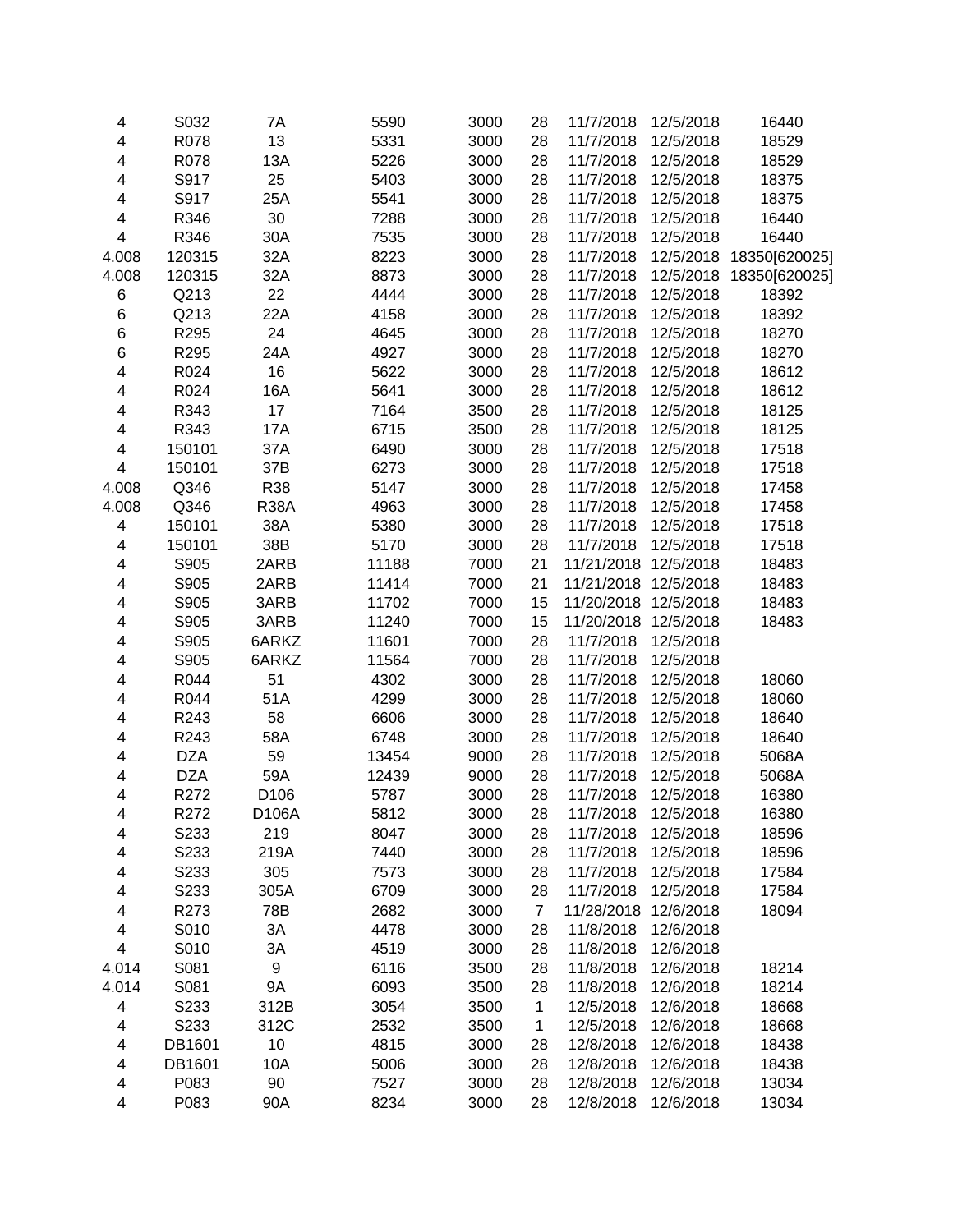| 4                       | S032       | 7A                 | 5590  | 3000 | 28             | 11/7/2018            | 12/5/2018 | 16440                   |
|-------------------------|------------|--------------------|-------|------|----------------|----------------------|-----------|-------------------------|
| $\overline{\mathbf{4}}$ | R078       | 13                 | 5331  | 3000 | 28             | 11/7/2018            | 12/5/2018 | 18529                   |
| $\overline{\mathbf{4}}$ | R078       | 13A                | 5226  | 3000 | 28             | 11/7/2018            | 12/5/2018 | 18529                   |
| 4                       | S917       | 25                 | 5403  | 3000 | 28             | 11/7/2018            | 12/5/2018 | 18375                   |
| 4                       | S917       | 25A                | 5541  | 3000 | 28             | 11/7/2018            | 12/5/2018 | 18375                   |
| 4                       | R346       | 30                 | 7288  | 3000 | 28             | 11/7/2018            | 12/5/2018 | 16440                   |
| $\overline{\mathbf{4}}$ | R346       | 30A                | 7535  | 3000 | 28             | 11/7/2018            | 12/5/2018 | 16440                   |
| 4.008                   | 120315     | 32A                | 8223  | 3000 | 28             | 11/7/2018            |           | 12/5/2018 18350[620025] |
| 4.008                   | 120315     | 32A                | 8873  | 3000 | 28             | 11/7/2018            |           | 12/5/2018 18350[620025] |
| 6                       | Q213       | 22                 | 4444  | 3000 | 28             | 11/7/2018            | 12/5/2018 | 18392                   |
| 6                       | Q213       | 22A                | 4158  | 3000 | 28             | 11/7/2018            | 12/5/2018 | 18392                   |
| 6                       | R295       | 24                 | 4645  | 3000 | 28             | 11/7/2018            | 12/5/2018 | 18270                   |
| 6                       | R295       | 24A                | 4927  | 3000 | 28             | 11/7/2018            | 12/5/2018 | 18270                   |
| 4                       | R024       | 16                 | 5622  | 3000 | 28             | 11/7/2018            | 12/5/2018 | 18612                   |
| $\overline{\mathbf{4}}$ | R024       | 16A                | 5641  | 3000 | 28             | 11/7/2018            | 12/5/2018 | 18612                   |
| $\overline{\mathbf{4}}$ | R343       | 17                 | 7164  | 3500 | 28             | 11/7/2018            | 12/5/2018 | 18125                   |
| $\overline{\mathbf{4}}$ | R343       | 17A                | 6715  | 3500 | 28             | 11/7/2018            | 12/5/2018 | 18125                   |
| $\overline{\mathbf{4}}$ | 150101     | 37A                | 6490  | 3000 | 28             | 11/7/2018            | 12/5/2018 | 17518                   |
| $\overline{\mathbf{4}}$ | 150101     | 37B                | 6273  | 3000 | 28             | 11/7/2018            | 12/5/2018 | 17518                   |
| 4.008                   | Q346       | R38                | 5147  | 3000 | 28             | 11/7/2018            | 12/5/2018 | 17458                   |
| 4.008                   | Q346       | <b>R38A</b>        | 4963  | 3000 | 28             | 11/7/2018            | 12/5/2018 | 17458                   |
| 4                       | 150101     | 38A                | 5380  | 3000 | 28             | 11/7/2018            | 12/5/2018 | 17518                   |
| 4                       | 150101     | 38B                | 5170  | 3000 | 28             | 11/7/2018            | 12/5/2018 | 17518                   |
| 4                       | S905       | 2ARB               | 11188 | 7000 | 21             | 11/21/2018           | 12/5/2018 | 18483                   |
| 4                       | S905       | 2ARB               | 11414 | 7000 | 21             | 11/21/2018 12/5/2018 |           | 18483                   |
| 4                       | S905       | 3ARB               | 11702 | 7000 | 15             | 11/20/2018 12/5/2018 |           | 18483                   |
| 4                       | S905       | 3ARB               | 11240 | 7000 | 15             | 11/20/2018           | 12/5/2018 | 18483                   |
| 4                       | S905       | 6ARKZ              | 11601 | 7000 | 28             | 11/7/2018            | 12/5/2018 |                         |
| 4                       | S905       | 6ARKZ              | 11564 | 7000 | 28             | 11/7/2018            | 12/5/2018 |                         |
| 4                       | R044       | 51                 | 4302  | 3000 | 28             | 11/7/2018            | 12/5/2018 | 18060                   |
| 4                       | R044       | 51A                | 4299  | 3000 | 28             | 11/7/2018            | 12/5/2018 | 18060                   |
| $\overline{\mathbf{4}}$ | R243       | 58                 | 6606  | 3000 | 28             | 11/7/2018            | 12/5/2018 | 18640                   |
| $\overline{\mathbf{4}}$ | R243       | 58A                | 6748  | 3000 | 28             | 11/7/2018            | 12/5/2018 | 18640                   |
| $\overline{\mathbf{4}}$ | <b>DZA</b> | 59                 | 13454 | 9000 | 28             | 11/7/2018            | 12/5/2018 | 5068A                   |
| 4                       | <b>DZA</b> | 59A                | 12439 | 9000 | 28             | 11/7/2018            | 12/5/2018 | 5068A                   |
| $\overline{\mathbf{4}}$ | R272       | D106               | 5787  | 3000 | 28             | 11/7/2018            | 12/5/2018 | 16380                   |
| 4                       | R272       | D <sub>106</sub> A | 5812  | 3000 | 28             | 11/7/2018            | 12/5/2018 | 16380                   |
| 4                       | S233       | 219                | 8047  | 3000 | 28             | 11/7/2018            | 12/5/2018 | 18596                   |
| 4                       | S233       | 219A               | 7440  | 3000 | 28             | 11/7/2018            | 12/5/2018 | 18596                   |
| 4                       | S233       | 305                | 7573  | 3000 | 28             | 11/7/2018            | 12/5/2018 | 17584                   |
| 4                       | S233       | 305A               | 6709  | 3000 | 28             | 11/7/2018            | 12/5/2018 | 17584                   |
| 4                       | R273       | 78B                | 2682  | 3000 | $\overline{7}$ | 11/28/2018           | 12/6/2018 | 18094                   |
| 4                       | S010       | 3A                 | 4478  | 3000 | 28             | 11/8/2018            | 12/6/2018 |                         |
| $\overline{\mathbf{4}}$ | S010       | 3A                 | 4519  | 3000 | 28             | 11/8/2018            | 12/6/2018 |                         |
| 4.014                   | S081       | $\boldsymbol{9}$   | 6116  | 3500 | 28             | 11/8/2018            | 12/6/2018 | 18214                   |
| 4.014                   | S081       | 9Α                 | 6093  | 3500 | 28             | 11/8/2018            | 12/6/2018 | 18214                   |
| 4                       | S233       | 312B               | 3054  | 3500 | $\mathbf{1}$   | 12/5/2018            | 12/6/2018 | 18668                   |
| 4                       | S233       | 312C               | 2532  | 3500 | $\mathbf{1}$   | 12/5/2018            | 12/6/2018 | 18668                   |
| 4                       | DB1601     | 10                 | 4815  | 3000 | 28             | 12/8/2018            | 12/6/2018 | 18438                   |
| $\overline{\mathbf{4}}$ | DB1601     | 10A                | 5006  | 3000 | 28             | 12/8/2018            | 12/6/2018 | 18438                   |
| $\overline{\mathbf{4}}$ | P083       | 90                 | 7527  | 3000 | 28             | 12/8/2018            | 12/6/2018 | 13034                   |
| $\overline{\mathbf{4}}$ | P083       | 90A                | 8234  | 3000 | 28             | 12/8/2018            | 12/6/2018 | 13034                   |
|                         |            |                    |       |      |                |                      |           |                         |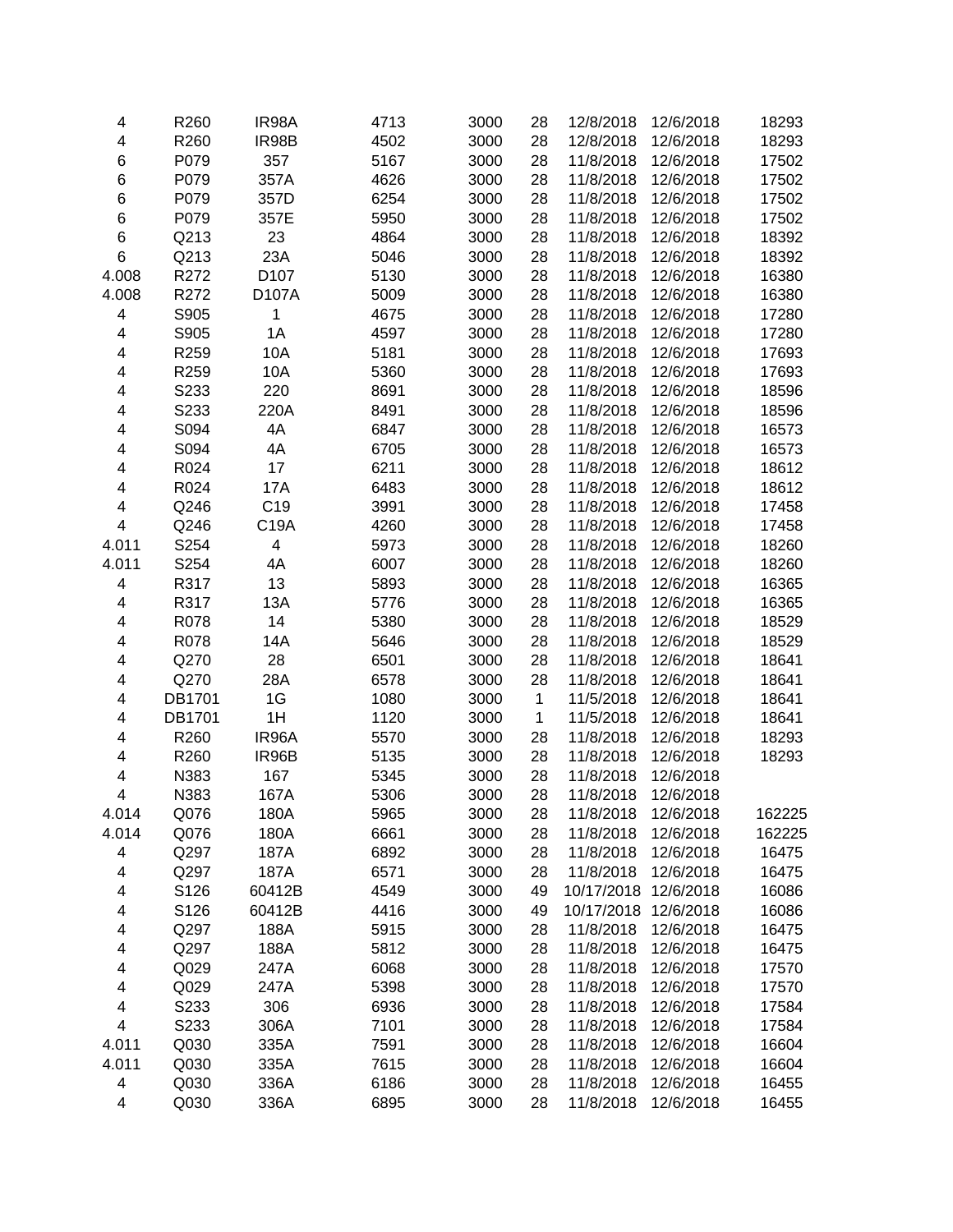| 4                       | R260   | IR98A            | 4713 | 3000 | 28           | 12/8/2018  | 12/6/2018 | 18293  |
|-------------------------|--------|------------------|------|------|--------------|------------|-----------|--------|
| $\overline{\mathbf{4}}$ | R260   | IR98B            | 4502 | 3000 | 28           | 12/8/2018  | 12/6/2018 | 18293  |
| 6                       | P079   | 357              | 5167 | 3000 | 28           | 11/8/2018  | 12/6/2018 | 17502  |
| 6                       | P079   | 357A             | 4626 | 3000 | 28           | 11/8/2018  | 12/6/2018 | 17502  |
| 6                       | P079   | 357D             | 6254 | 3000 | 28           | 11/8/2018  | 12/6/2018 | 17502  |
| 6                       | P079   | 357E             | 5950 | 3000 | 28           | 11/8/2018  | 12/6/2018 | 17502  |
| 6                       | Q213   | 23               | 4864 | 3000 | 28           | 11/8/2018  | 12/6/2018 | 18392  |
| 6                       | Q213   | 23A              | 5046 | 3000 | 28           | 11/8/2018  | 12/6/2018 | 18392  |
| 4.008                   | R272   | D <sub>107</sub> | 5130 | 3000 | 28           | 11/8/2018  | 12/6/2018 | 16380  |
| 4.008                   | R272   | D107A            | 5009 | 3000 | 28           | 11/8/2018  | 12/6/2018 | 16380  |
| 4                       | S905   | 1                | 4675 | 3000 | 28           | 11/8/2018  | 12/6/2018 | 17280  |
| 4                       | S905   | 1A               | 4597 | 3000 | 28           | 11/8/2018  | 12/6/2018 | 17280  |
| 4                       | R259   | 10A              | 5181 | 3000 | 28           | 11/8/2018  | 12/6/2018 | 17693  |
| 4                       | R259   | 10A              | 5360 | 3000 | 28           | 11/8/2018  | 12/6/2018 | 17693  |
| 4                       | S233   | 220              | 8691 | 3000 | 28           | 11/8/2018  | 12/6/2018 | 18596  |
| 4                       | S233   | 220A             | 8491 | 3000 | 28           | 11/8/2018  | 12/6/2018 | 18596  |
| 4                       | S094   | 4A               | 6847 | 3000 | 28           | 11/8/2018  | 12/6/2018 | 16573  |
| $\overline{\mathbf{4}}$ | S094   | 4A               | 6705 | 3000 | 28           | 11/8/2018  | 12/6/2018 | 16573  |
| $\overline{\mathbf{4}}$ | R024   | 17               | 6211 | 3000 | 28           | 11/8/2018  | 12/6/2018 | 18612  |
| 4                       | R024   | <b>17A</b>       | 6483 | 3000 | 28           | 11/8/2018  | 12/6/2018 | 18612  |
| 4                       | Q246   | C <sub>19</sub>  | 3991 | 3000 | 28           | 11/8/2018  | 12/6/2018 | 17458  |
| $\overline{\mathbf{4}}$ | Q246   | C19A             | 4260 | 3000 | 28           | 11/8/2018  | 12/6/2018 | 17458  |
| 4.011                   | S254   | 4                | 5973 | 3000 | 28           | 11/8/2018  | 12/6/2018 | 18260  |
| 4.011                   | S254   | 4A               | 6007 | 3000 | 28           | 11/8/2018  | 12/6/2018 | 18260  |
| 4                       | R317   | 13               | 5893 | 3000 | 28           | 11/8/2018  | 12/6/2018 | 16365  |
| 4                       | R317   | 13A              | 5776 | 3000 | 28           | 11/8/2018  | 12/6/2018 | 16365  |
| 4                       | R078   | 14               | 5380 | 3000 | 28           | 11/8/2018  | 12/6/2018 | 18529  |
| 4                       | R078   | 14A              | 5646 | 3000 | 28           | 11/8/2018  | 12/6/2018 | 18529  |
| 4                       | Q270   | 28               | 6501 | 3000 | 28           | 11/8/2018  | 12/6/2018 | 18641  |
| 4                       | Q270   | 28A              | 6578 | 3000 | 28           | 11/8/2018  | 12/6/2018 | 18641  |
| 4                       | DB1701 | 1G               | 1080 | 3000 | $\mathbf{1}$ | 11/5/2018  | 12/6/2018 | 18641  |
| 4                       | DB1701 | 1H               | 1120 | 3000 | $\mathbf 1$  | 11/5/2018  | 12/6/2018 | 18641  |
| 4                       | R260   | IR96A            | 5570 | 3000 | 28           | 11/8/2018  | 12/6/2018 | 18293  |
| $\overline{\mathbf{4}}$ | R260   | IR96B            | 5135 | 3000 | 28           | 11/8/2018  | 12/6/2018 | 18293  |
| $\overline{\mathbf{4}}$ | N383   | 167              | 5345 | 3000 | 28           | 11/8/2018  | 12/6/2018 |        |
| $\overline{\mathbf{4}}$ | N383   | 167A             | 5306 | 3000 | 28           | 11/8/2018  | 12/6/2018 |        |
|                         |        |                  |      |      |              |            |           |        |
| 4.014                   | Q076   | 180A             | 5965 | 3000 | 28           | 11/8/2018  | 12/6/2018 | 162225 |
| 4.014                   | Q076   | 180A             | 6661 | 3000 | 28           | 11/8/2018  | 12/6/2018 | 162225 |
| 4                       | Q297   | 187A             | 6892 | 3000 | 28           | 11/8/2018  | 12/6/2018 | 16475  |
| 4                       | Q297   | 187A             | 6571 | 3000 | 28           | 11/8/2018  | 12/6/2018 | 16475  |
| 4                       | S126   | 60412B           | 4549 | 3000 | 49           | 10/17/2018 | 12/6/2018 | 16086  |
| 4                       | S126   | 60412B           | 4416 | 3000 | 49           | 10/17/2018 | 12/6/2018 | 16086  |
| 4                       | Q297   | 188A             | 5915 | 3000 | 28           | 11/8/2018  | 12/6/2018 | 16475  |
| 4                       | Q297   | 188A             | 5812 | 3000 | 28           | 11/8/2018  | 12/6/2018 | 16475  |
| 4                       | Q029   | 247A             | 6068 | 3000 | 28           | 11/8/2018  | 12/6/2018 | 17570  |
| 4                       | Q029   | 247A             | 5398 | 3000 | 28           | 11/8/2018  | 12/6/2018 | 17570  |
| 4                       | S233   | 306              | 6936 | 3000 | 28           | 11/8/2018  | 12/6/2018 | 17584  |
| $\overline{\mathbf{4}}$ | S233   | 306A             | 7101 | 3000 | 28           | 11/8/2018  | 12/6/2018 | 17584  |
| 4.011                   | Q030   | 335A             | 7591 | 3000 | 28           | 11/8/2018  | 12/6/2018 | 16604  |
| 4.011                   | Q030   | 335A             | 7615 | 3000 | 28           | 11/8/2018  | 12/6/2018 | 16604  |
| 4                       | Q030   | 336A             | 6186 | 3000 | 28           | 11/8/2018  | 12/6/2018 | 16455  |
| 4                       | Q030   | 336A             | 6895 | 3000 | 28           | 11/8/2018  | 12/6/2018 | 16455  |